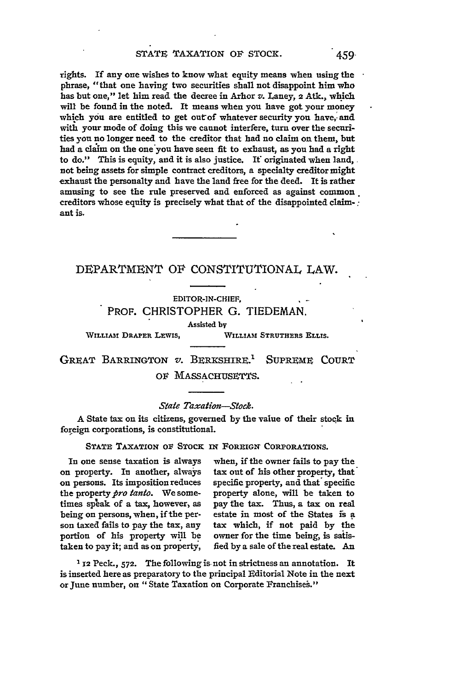rights. If any one wishes to know what equity means when using **the** phrase, "that one having two securities shall not disappoint him who has but one," let him read the decree in Arhor *v.* Laney, 2 Atk., which will be found in the noted. It means when you have got your money which you are entitled to get out of whatever security you have, and with your mode of doing this we cannot interfere, turn over the securities you no longer need to the creditor that had no claim on them, but had a claim on the one'you have seen fit to exhaust, as you had a right to do." This is equity, and it is also justice. **It** originated when land, not being assets for simple contract creditors, a specialty creditor might exhaust the personalty and have the land free for the deed. It is rather amusing to see the rule preserved and enforced as against common creditors whose equity is precisely what that of the disappointed claim-: ant is.

## DEPARTMENT OF CONSTITUTIONAL LAW.

**EDITOR-IN-CHIEF.** *,* - PROF. CHRISTOPHER **G. TIEDEMAN.**

Assisted **bV**

WILLIAM DRAPER **LEWIS, WILLIA31 STRUTHERS** ELLIS.

GREAT BARRINGTON v. BERKSHIRE.' SUPREME COURT OF MASSACHUSETTS.

## *State Taxation-Stock.*

A State tax on its citizens, governed by the value of their stock in foreign corporations, is constitutional.

STATE TAXATION OF STOCK IN FOREIGN CORPORATIONS.

In one sense taxation is always on property. In another, always on persons. Its imposition reduces the property pro *tanto.* We sometimes speak of a tax, however, as being on persons, when, if the person taxed fails to pay the tax, any portion of his property will be taken to pay it; and as on property,

when, if the owner fails to pay the tax out of his other property, that specific property, and that specific property alone, will be taken to pay the tax. Thus, a tax on real estate in most of the States **is** a tax which, if not paid by the owner for the time being, is satisfied **by** a sale of the real estate. **An**

*12* Peck., **572.** The following is- not in strictness an annotation. It is inserted here as preparatory to the principal Editorial Note in the next or June number, on "State Taxation on Corporate Franchises."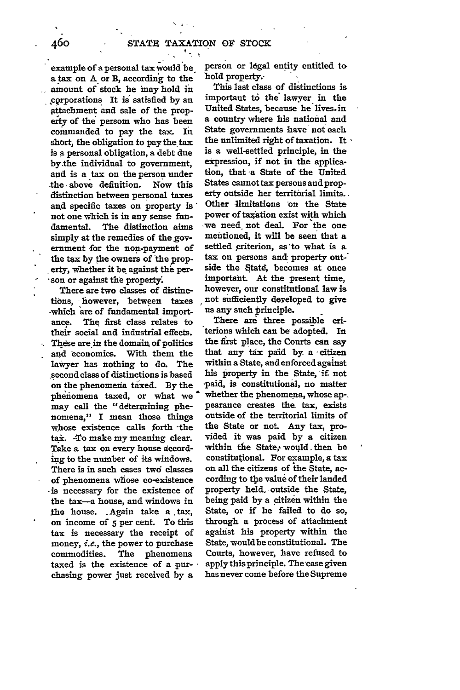example of a personal tax would be a tax on **A** or B, according to the .. amount of stock he may hold in cprporations It **is** satisfied **by** an attachment and sale of the property of the persom who has been commanded to pay the tax. In short, the obligation to pay the tax is **a** personal obligation, a debt due by.the individual to government, and is a tax on the person under .the, above definition. Now this distinction between personal taxes **and** specific taxes on property is not one which is in any sense fundamental. The distinction aims simply at the remedies of the government for the non-payment of the tax **by** the owners of 'the property, whether it be against the per son or against the property.

There are two classes of distinctions, however, between taxes -which are of fundamental importance. **The** first class relates to their social and industrial effects. These are in the domain of politics and economics. With them the lawyer has nothing to do. The ,second class of distinctions is based on the phenomena taxed. **By** the phenomena taxed, or what we may call the "ddtermining **phe**nomena," I mean those things whose existence calls forth 'the tax. To make my meaning clear. Take a tax on every house accord-**Sig** to the number of its windows. There is in such cases two classes of phenomena whose co-existence **•** is necessary for the existence of the tax-a house, and windows in the house. Again take a tax, on income **of 5** per cent. To this tax is necessary the receipt of money, *i.e.,* the power to purchase commodities. The phenomena taxed is the existence of a purchasing power just received **by** a

person or legal entity entitled to hold property.-

This last class of distinctions is important t6 the lawyer in the United States, because he lives.in a country where his national and State governments have' not each the unlimited right of taxation. It  $\cdot$ is a well-settled principle, in the expression, if not in the application, that a State of the United States cannot tax persons and property outside her territorial limits.. Other limitations on the State power of taxation exist with which ,we need not deal. For the one mentioned, it will be seen that a settled criterion, as to what is a tax on persons and property out-' side the State, becomes at once important. At the present time, however, our constitutional law is not sufficiently developed to give us any such principle.

There are three possible criterions which can **be** adopted. In the first place, the Courts can say that any tax paid **by** a -citizen within a State, and enforced against his property in the State, **'if** not -paid, is constitutional, no matter whether the phenomena, whose ap-. pearance creates the tax, exists outside of the territorial limits of the State or not. Any tax, provided it was paid **by** a citizen within the State, would then be constitutional. For example, a tax on all the citizens of the State, according to **the** value of their landed property **held.** outside the State, being paid **by** a citizen within the State, or if he failed to do so, through a process of attachment against his property within the State, wouldbe constitutional. The Courts, however, have refused to apply this principle. The case given has never come before the Supreme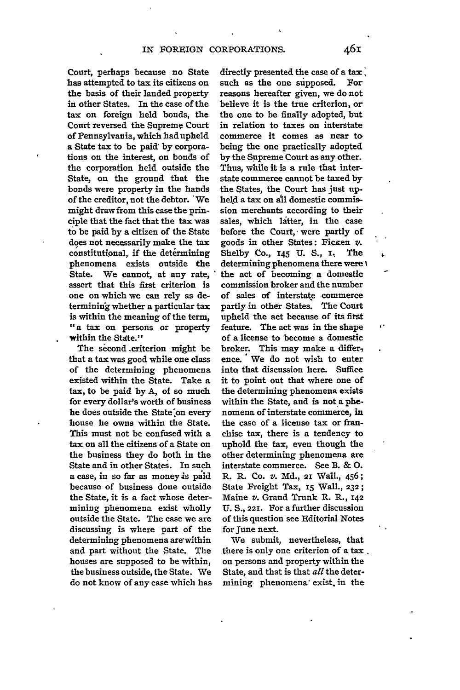Court, perhaps because no State has attempted to tax its citizens on the basis of their landed property in other States. In the case of the tax on foreign held bonds, the Court reversed tht Supreme Court of Pennsylvania, which had upheld a State tax to be paid **by** corporations on the interest, on bonds of the corporation held outside the State, on the ground that the bonds were property in the hands of the creditor, not the debtor. **"We** might draw from this case the **prin**ciple that the fact that the tax was to be paid **by** a citizen of the State does not necessarily make the tax constitutional, if the determining phenomena exists outside the State. We cannot, at any rate, assert that this first criterion is one on which we can rely as determining whether a particular tax is within the meaning of the term, "a tax on persons or property within the State."

The second .criterion might be that a tax was good while one class of the determining phenomena existed within the State. Take a tax, to be paid **by A,** of so much for every dollar's worth of business he does outside the State on every house he owns within the State. This must not be confused with a tax on all the citizens of a State on the business they do both in the State and in other States. In such a case, in so far as money is paid because of business done outside the State, it is a fact whose determining phenomena exist wholly outside the State. The case we are discussing is where part of the determining phenomena arewithin and part without the State. The houses are supposed to be within, the business outside, the State. We do not know of any case which has directly presented the case of a tax, such as the one supposed. For reasons hereafter given, we do not believe it is the true criterion, or the one to be finally adopted, but in relation to taxes on interstate commerce it comes as near *to* being the one practically adopted **by** the Supreme Court as any other. Thus, while it is a rule that interstate commerce cannot be taxed **by** the States, the Court has just upheld a tax on all domestic commission merchants according to their sales, which latter, in the case before the Court, were partly of goods in other States: Ficken v. Shelby Co., **145 U. S., i,** The determining phenomena there were \ the act of becoming a domestic commission broker and the number of sales of interstate commerce partly in other States. The Court upheld the act because of its **fitst** feature. The act was in the shape of a license to become a domestic broker. This may make a differ, ence. **'** We do not wish to enter into that discussion here. Suffice it to point out that where one of the determining phenomena exists within the State, and is not a phenomena of interstate commerce, in the case of a license tax or franchise tax, there is a tendency to uphold the tax, even though the other determining phenomena are interstate commerce. See B. & **0.** R. R. Co. *v.* **Md., 21** Wall., 456; State Freight Tax, *15* Wall., **232;** Maine *v.* Grand Trunk R. R., **142 U. S., 221.** For a further discussion of this question see Editorial Notes for June next.

We submit, nevertheless, that there is only one criterion of a tax. on persons and property within the State, and that is that *all* the determining phenomena- exist, in the

461